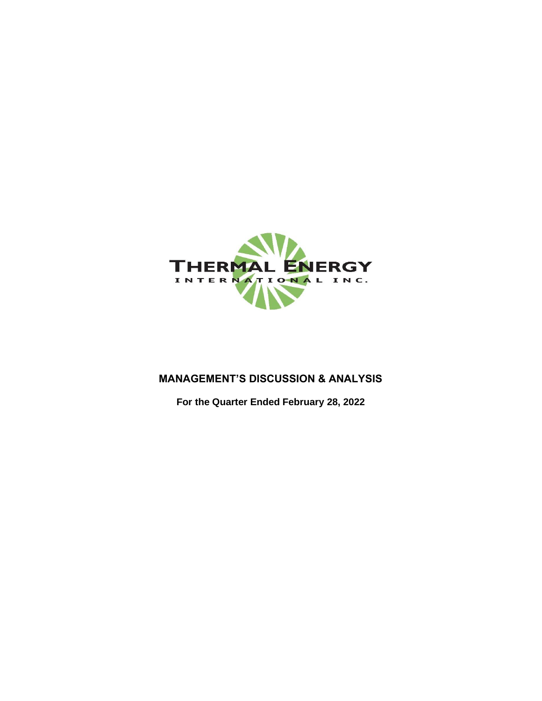

# **MANAGEMENT'S DISCUSSION & ANALYSIS**

**For the Quarter Ended February 28, 2022**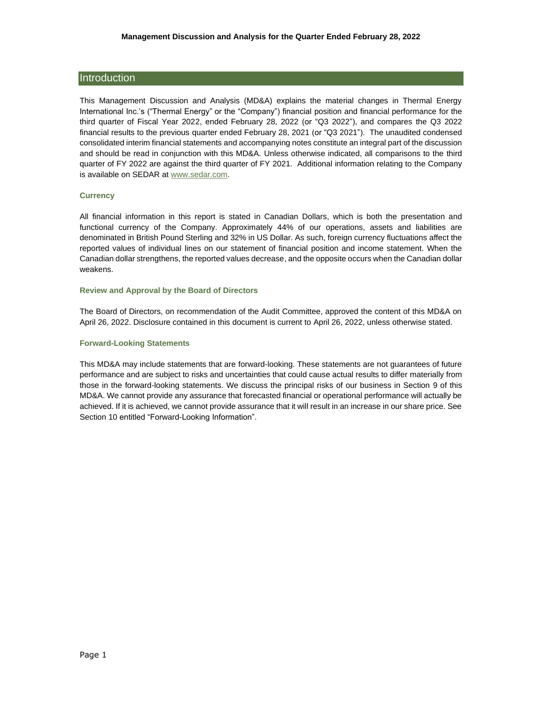# **Introduction**

This Management Discussion and Analysis (MD&A) explains the material changes in Thermal Energy International Inc.'s ("Thermal Energy" or the "Company") financial position and financial performance for the third quarter of Fiscal Year 2022, ended February 28, 2022 (or "Q3 2022"), and compares the Q3 2022 financial results to the previous quarter ended February 28, 2021 (or "Q3 2021"). The unaudited condensed consolidated interim financial statements and accompanying notes constitute an integral part of the discussion and should be read in conjunction with this MD&A. Unless otherwise indicated, all comparisons to the third quarter of FY 2022 are against the third quarter of FY 2021. Additional information relating to the Company is available on SEDAR at [www.sedar.com.](http://sedar.com/DisplayProfile.do?lang=EN&issuerType=03&issuerNo=00007994)

# **Currency**

All financial information in this report is stated in Canadian Dollars, which is both the presentation and functional currency of the Company. Approximately 44% of our operations, assets and liabilities are denominated in British Pound Sterling and 32% in US Dollar. As such, foreign currency fluctuations affect the reported values of individual lines on our statement of financial position and income statement. When the Canadian dollar strengthens, the reported values decrease, and the opposite occurs when the Canadian dollar weakens.

#### **Review and Approval by the Board of Directors**

The Board of Directors, on recommendation of the Audit Committee, approved the content of this MD&A on April 26, 2022. Disclosure contained in this document is current to April 26, 2022, unless otherwise stated.

#### **Forward-Looking Statements**

This MD&A may include statements that are forward-looking. These statements are not guarantees of future performance and are subject to risks and uncertainties that could cause actual results to differ materially from those in the forward-looking statements. We discuss the principal risks of our business in Section 9 of this MD&A. We cannot provide any assurance that forecasted financial or operational performance will actually be achieved. If it is achieved, we cannot provide assurance that it will result in an increase in our share price. See Section 10 entitled "Forward-Looking Information".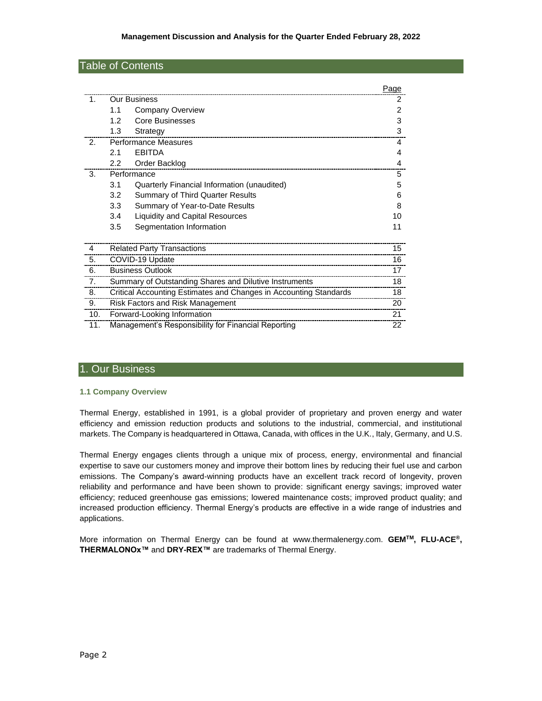# Table of Contents

|                |                                                                   | Page |
|----------------|-------------------------------------------------------------------|------|
| $\mathbf{1}$ . | <b>Our Business</b>                                               | 2    |
|                | 1.1<br><b>Company Overview</b>                                    | 2    |
|                | 1.2<br><b>Core Businesses</b>                                     | 3    |
|                | 1.3<br>Strategy                                                   | 3    |
| 2 <sub>1</sub> | <b>Performance Measures</b>                                       | 4    |
|                | <b>EBITDA</b><br>2.1                                              | 4    |
|                | $2.2\phantom{0}$<br>Order Backlog                                 | 4    |
| 3.             | Performance                                                       | 5    |
|                | Quarterly Financial Information (unaudited)<br>3.1                | 5    |
|                | 3.2<br><b>Summary of Third Quarter Results</b>                    | 6    |
|                | 3.3<br>Summary of Year-to-Date Results                            | 8    |
|                | 3.4<br><b>Liquidity and Capital Resources</b>                     | 10   |
|                | Segmentation Information<br>3.5                                   | 11   |
|                |                                                                   |      |
| $\overline{4}$ | <b>Related Party Transactions</b>                                 | 15   |
| 5.             | COVID-19 Update                                                   | 16   |
| 6.             | <b>Business Outlook</b>                                           | 17   |
| 7.             | Summary of Outstanding Shares and Dilutive Instruments            | 18   |
| 8.             | Critical Accounting Estimates and Changes in Accounting Standards | 18   |
| 9.             | Risk Factors and Risk Management                                  | 20   |
| 10.            | Forward-Looking Information                                       | 21   |
| 11.            | Management's Responsibility for Financial Reporting               | 22   |

# 1. Our Business

# **1.1 Company Overview**

Thermal Energy, established in 1991, is a global provider of proprietary and proven energy and water efficiency and emission reduction products and solutions to the industrial, commercial, and institutional markets. The Company is headquartered in Ottawa, Canada, with offices in the U.K., Italy, Germany, and U.S.

Thermal Energy engages clients through a unique mix of process, energy, environmental and financial expertise to save our customers money and improve their bottom lines by reducing their fuel use and carbon emissions. The Company's award-winning products have an excellent track record of longevity, proven reliability and performance and have been shown to provide: significant energy savings; improved water efficiency; reduced greenhouse gas emissions; lowered maintenance costs; improved product quality; and increased production efficiency. Thermal Energy's products are effective in a wide range of industries and applications.

More information on Thermal Energy can be found at [www.thermalenergy.com.](http://www.thermalenergy.com/) **GEMTM, FLU-ACE®, THERMALONOx™** and **DRY-REX™** are trademarks of Thermal Energy.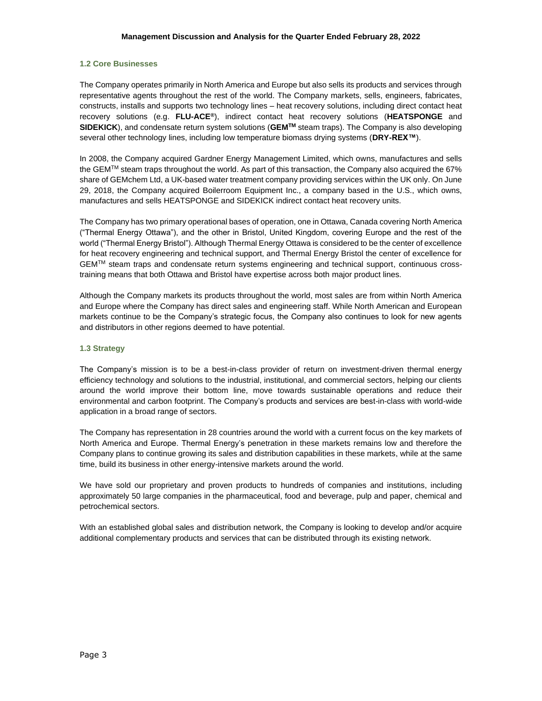# **1.2 Core Businesses**

The Company operates primarily in North America and Europe but also sells its products and services through representative agents throughout the rest of the world. The Company markets, sells, engineers, fabricates, constructs, installs and supports two technology lines – heat recovery solutions, including direct contact heat recovery solutions (e.g. **FLU-ACE®**), indirect contact heat recovery solutions (**HEATSPONGE** and **SIDEKICK**), and condensate return system solutions (**GEMTM** steam traps). The Company is also developing several other technology lines, including low temperature biomass drying systems (**DRY-REX™**).

In 2008, the Company acquired Gardner Energy Management Limited, which owns, manufactures and sells the GEM<sup>TM</sup> steam traps throughout the world. As part of this transaction, the Company also acquired the 67% share of GEMchem Ltd, a UK-based water treatment company providing services within the UK only. On June 29, 2018, the Company acquired Boilerroom Equipment Inc., a company based in the U.S., which owns, manufactures and sells HEATSPONGE and SIDEKICK indirect contact heat recovery units.

The Company has two primary operational bases of operation, one in Ottawa, Canada covering North America ("Thermal Energy Ottawa"), and the other in Bristol, United Kingdom, covering Europe and the rest of the world ("Thermal Energy Bristol"). Although Thermal Energy Ottawa is considered to be the center of excellence for heat recovery engineering and technical support, and Thermal Energy Bristol the center of excellence for GEMTM steam traps and condensate return systems engineering and technical support, continuous crosstraining means that both Ottawa and Bristol have expertise across both major product lines.

Although the Company markets its products throughout the world, most sales are from within North America and Europe where the Company has direct sales and engineering staff. While North American and European markets continue to be the Company's strategic focus, the Company also continues to look for new agents and distributors in other regions deemed to have potential.

#### **1.3 Strategy**

The Company's mission is to be a best-in-class provider of return on investment-driven thermal energy efficiency technology and solutions to the industrial, institutional, and commercial sectors, helping our clients around the world improve their bottom line, move towards sustainable operations and reduce their environmental and carbon footprint. The Company's products and services are best-in-class with world-wide application in a broad range of sectors.

The Company has representation in 28 countries around the world with a current focus on the key markets of North America and Europe. Thermal Energy's penetration in these markets remains low and therefore the Company plans to continue growing its sales and distribution capabilities in these markets, while at the same time, build its business in other energy-intensive markets around the world.

We have sold our proprietary and proven products to hundreds of companies and institutions, including approximately 50 large companies in the pharmaceutical, food and beverage, pulp and paper, chemical and petrochemical sectors.

With an established global sales and distribution network, the Company is looking to develop and/or acquire additional complementary products and services that can be distributed through its existing network.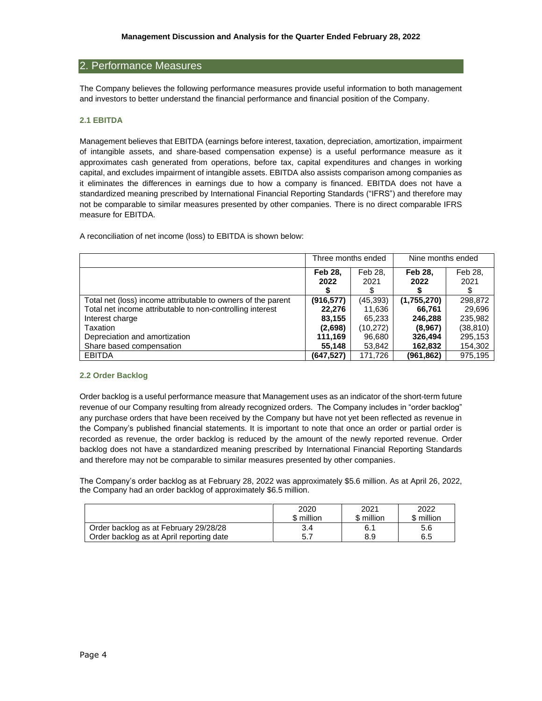# 2. Performance Measures

The Company believes the following performance measures provide useful information to both management and investors to better understand the financial performance and financial position of the Company.

# **2.1 EBITDA**

Management believes that EBITDA (earnings before interest, taxation, depreciation, amortization, impairment of intangible assets, and share-based compensation expense) is a useful performance measure as it approximates cash generated from operations, before tax, capital expenditures and changes in working capital, and excludes impairment of intangible assets. EBITDA also assists comparison among companies as it eliminates the differences in earnings due to how a company is financed. EBITDA does not have a standardized meaning prescribed by International Financial Reporting Standards ("IFRS") and therefore may not be comparable to similar measures presented by other companies. There is no direct comparable IFRS measure for EBITDA.

A reconciliation of net income (loss) to EBITDA is shown below:

|                                                              |                | Three months ended | Nine months ended |           |
|--------------------------------------------------------------|----------------|--------------------|-------------------|-----------|
|                                                              | <b>Feb 28.</b> | Feb 28.            | <b>Feb 28.</b>    | Feb 28.   |
|                                                              | 2022           | 2021               | 2022              | 2021      |
|                                                              |                |                    |                   |           |
| Total net (loss) income attributable to owners of the parent | (916, 577)     | (45, 393)          | (1,755,270)       | 298,872   |
| Total net income attributable to non-controlling interest    | 22,276         | 11,636             | 66.761            | 29,696    |
| Interest charge                                              | 83,155         | 65,233             | 246,288           | 235,982   |
| Taxation                                                     | (2,698)        | (10,272)           | (8,967)           | (38, 810) |
| Depreciation and amortization                                | 111,169        | 96,680             | 326,494           | 295,153   |
| Share based compensation                                     | 55.148         | 53,842             | 162,832           | 154,302   |
| <b>EBITDA</b>                                                | (647, 527)     | 171.726            | (961,862)         | 975.195   |

# **2.2 Order Backlog**

Order backlog is a useful performance measure that Management uses as an indicator of the short-term future revenue of our Company resulting from already recognized orders. The Company includes in "order backlog" any purchase orders that have been received by the Company but have not yet been reflected as revenue in the Company's published financial statements. It is important to note that once an order or partial order is recorded as revenue, the order backlog is reduced by the amount of the newly reported revenue. Order backlog does not have a standardized meaning prescribed by International Financial Reporting Standards and therefore may not be comparable to similar measures presented by other companies.

The Company's order backlog as at February 28, 2022 was approximately \$5.6 million. As at April 26, 2022, the Company had an order backlog of approximately \$6.5 million.

|                                          | 2020       | 2021       | 2022       |
|------------------------------------------|------------|------------|------------|
|                                          | \$ million | \$ million | \$ million |
| Order backlog as at February 29/28/28    | 3.4        | 6.1        | 5.6        |
| Order backlog as at April reporting date | 5.7        | 8.9        | 6.5        |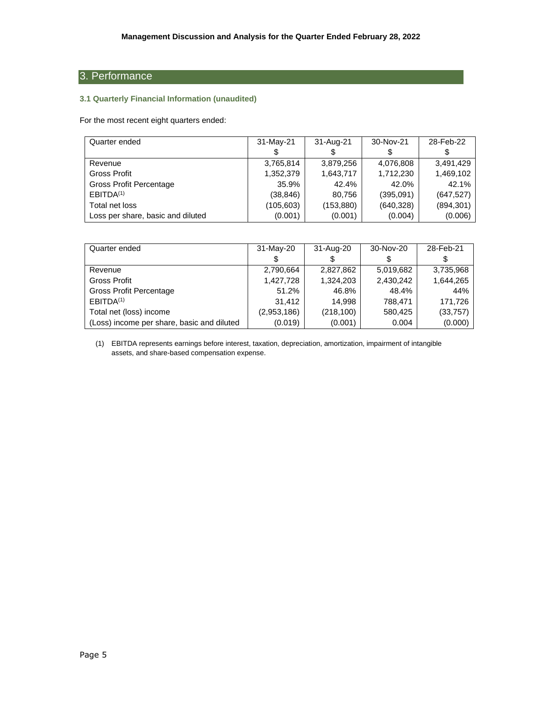# 3. Performance

# **3.1 Quarterly Financial Information (unaudited)**

For the most recent eight quarters ended:

| Quarter ended                     | 31-May-21  | 31-Aug-21  | 30-Nov-21 | 28-Feb-22  |
|-----------------------------------|------------|------------|-----------|------------|
|                                   | \$         |            | \$        |            |
| Revenue                           | 3,765,814  | 3,879,256  | 4,076,808 | 3.491.429  |
| <b>Gross Profit</b>               | 1,352,379  | 1,643,717  | 1,712,230 | 1,469,102  |
| Gross Profit Percentage           | 35.9%      | 42.4%      | 42.0%     | 42.1%      |
| EBITDA <sup>(1)</sup>             | (38, 846)  | 80,756     | (395,091) | (647, 527) |
| Total net loss                    | (105, 603) | (153, 880) | (640,328) | (894, 301) |
| Loss per share, basic and diluted | (0.001)    | (0.001)    | (0.004)   | (0.006)    |

| Quarter ended                              | 31-May-20   | 31-Aug-20  | 30-Nov-20 | 28-Feb-21 |
|--------------------------------------------|-------------|------------|-----------|-----------|
|                                            | \$          |            | \$        | S         |
| Revenue                                    | 2,790,664   | 2,827,862  | 5,019,682 | 3,735,968 |
| <b>Gross Profit</b>                        | 1,427,728   | 1,324,203  | 2,430,242 | 1,644,265 |
| Gross Profit Percentage                    | 51.2%       | 46.8%      | 48.4%     | 44%       |
| EBITDA <sup>(1)</sup>                      | 31.412      | 14.998     | 788.471   | 171,726   |
| Total net (loss) income                    | (2,953,186) | (218, 100) | 580.425   | (33, 757) |
| (Loss) income per share, basic and diluted | (0.019)     | (0.001)    | 0.004     | (0.000)   |

(1) EBITDA represents earnings before interest, taxation, depreciation, amortization, impairment of intangible assets, and share-based compensation expense.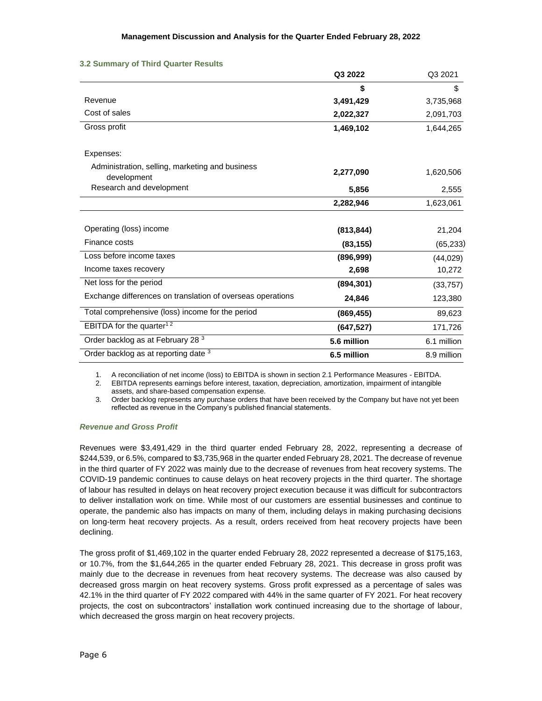|                                                                | Q3 2022     | Q3 2021     |
|----------------------------------------------------------------|-------------|-------------|
|                                                                | \$          | \$          |
| Revenue                                                        | 3,491,429   | 3,735,968   |
| Cost of sales                                                  | 2,022,327   | 2,091,703   |
| Gross profit                                                   | 1,469,102   | 1,644,265   |
| Expenses:                                                      |             |             |
| Administration, selling, marketing and business<br>development | 2,277,090   | 1,620,506   |
| Research and development                                       | 5,856       | 2,555       |
|                                                                | 2,282,946   | 1,623,061   |
| Operating (loss) income                                        | (813, 844)  | 21,204      |
| Finance costs                                                  | (83, 155)   | (65, 233)   |
| Loss before income taxes                                       | (896,999)   | (44, 029)   |
| Income taxes recovery                                          | 2,698       | 10,272      |
| Net loss for the period                                        | (894, 301)  | (33, 757)   |
| Exchange differences on translation of overseas operations     | 24,846      | 123,380     |
| Total comprehensive (loss) income for the period               | (869, 455)  | 89,623      |
| EBITDA for the quarter <sup>12</sup>                           | (647, 527)  | 171,726     |
| Order backlog as at February 28 3                              | 5.6 million | 6.1 million |
| Order backlog as at reporting date 3                           | 6.5 million | 8.9 million |
|                                                                |             |             |

#### **3.2 Summary of Third Quarter Results**

1. A reconciliation of net income (loss) to EBITDA is shown in section 2.1 Performance Measures - EBITDA.

2. EBITDA represents earnings before interest, taxation, depreciation, amortization, impairment of intangible assets, and share-based compensation expense.

3. Order backlog represents any purchase orders that have been received by the Company but have not yet been reflected as revenue in the Company's published financial statements.

# *Revenue and Gross Profit*

Revenues were \$3,491,429 in the third quarter ended February 28, 2022, representing a decrease of \$244,539, or 6.5%, compared to \$3,735,968 in the quarter ended February 28, 2021. The decrease of revenue in the third quarter of FY 2022 was mainly due to the decrease of revenues from heat recovery systems. The COVID-19 pandemic continues to cause delays on heat recovery projects in the third quarter. The shortage of labour has resulted in delays on heat recovery project execution because it was difficult for subcontractors to deliver installation work on time. While most of our customers are essential businesses and continue to operate, the pandemic also has impacts on many of them, including delays in making purchasing decisions on long-term heat recovery projects. As a result, orders received from heat recovery projects have been declining.

The gross profit of \$1,469,102 in the quarter ended February 28, 2022 represented a decrease of \$175,163, or 10.7%, from the \$1,644,265 in the quarter ended February 28, 2021. This decrease in gross profit was mainly due to the decrease in revenues from heat recovery systems. The decrease was also caused by decreased gross margin on heat recovery systems. Gross profit expressed as a percentage of sales was 42.1% in the third quarter of FY 2022 compared with 44% in the same quarter of FY 2021. For heat recovery projects, the cost on subcontractors' installation work continued increasing due to the shortage of labour, which decreased the gross margin on heat recovery projects.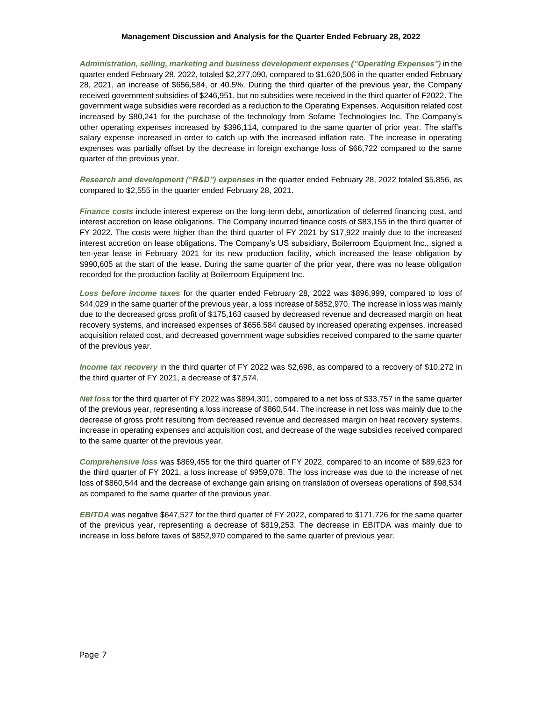*Administration, selling, marketing and business development expenses ("Operating Expenses")* in the quarter ended February 28, 2022, totaled \$2,277,090, compared to \$1,620,506 in the quarter ended February 28, 2021, an increase of \$656,584, or 40.5%. During the third quarter of the previous year, the Company received government subsidies of \$246,951, but no subsidies were received in the third quarter of F2022. The government wage subsidies were recorded as a reduction to the Operating Expenses. Acquisition related cost increased by \$80,241 for the purchase of the technology from Sofame Technologies Inc. The Company's other operating expenses increased by \$396,114, compared to the same quarter of prior year. The staff's salary expense increased in order to catch up with the increased inflation rate. The increase in operating expenses was partially offset by the decrease in foreign exchange loss of \$66,722 compared to the same quarter of the previous year.

*Research and development ("R&D") expenses* in the quarter ended February 28, 2022 totaled \$5,856, as compared to \$2,555 in the quarter ended February 28, 2021.

*Finance costs* include interest expense on the long-term debt, amortization of deferred financing cost, and interest accretion on lease obligations. The Company incurred finance costs of \$83,155 in the third quarter of FY 2022. The costs were higher than the third quarter of FY 2021 by \$17,922 mainly due to the increased interest accretion on lease obligations. The Company's US subsidiary, Boilerroom Equipment Inc., signed a ten-year lease in February 2021 for its new production facility, which increased the lease obligation by \$990,605 at the start of the lease. During the same quarter of the prior year, there was no lease obligation recorded for the production facility at Boilerroom Equipment Inc.

*Loss before income taxes* for the quarter ended February 28, 2022 was \$896,999, compared to loss of \$44,029 in the same quarter of the previous year, a loss increase of \$852,970. The increase in loss was mainly due to the decreased gross profit of \$175,163 caused by decreased revenue and decreased margin on heat recovery systems, and increased expenses of \$656,584 caused by increased operating expenses, increased acquisition related cost, and decreased government wage subsidies received compared to the same quarter of the previous year.

*Income tax recovery* in the third quarter of FY 2022 was \$2,698, as compared to a recovery of \$10,272 in the third quarter of FY 2021, a decrease of \$7,574.

*Net loss* for the third quarter of FY 2022 was \$894,301, compared to a net loss of \$33,757 in the same quarter of the previous year, representing a loss increase of \$860,544. The increase in net loss was mainly due to the decrease of gross profit resulting from decreased revenue and decreased margin on heat recovery systems, increase in operating expenses and acquisition cost, and decrease of the wage subsidies received compared to the same quarter of the previous year.

*Comprehensive loss* was \$869,455 for the third quarter of FY 2022, compared to an income of \$89,623 for the third quarter of FY 2021, a loss increase of \$959,078. The loss increase was due to the increase of net loss of \$860,544 and the decrease of exchange gain arising on translation of overseas operations of \$98,534 as compared to the same quarter of the previous year.

*EBITDA* was negative \$647,527 for the third quarter of FY 2022, compared to \$171,726 for the same quarter of the previous year, representing a decrease of \$819,253. The decrease in EBITDA was mainly due to increase in loss before taxes of \$852,970 compared to the same quarter of previous year.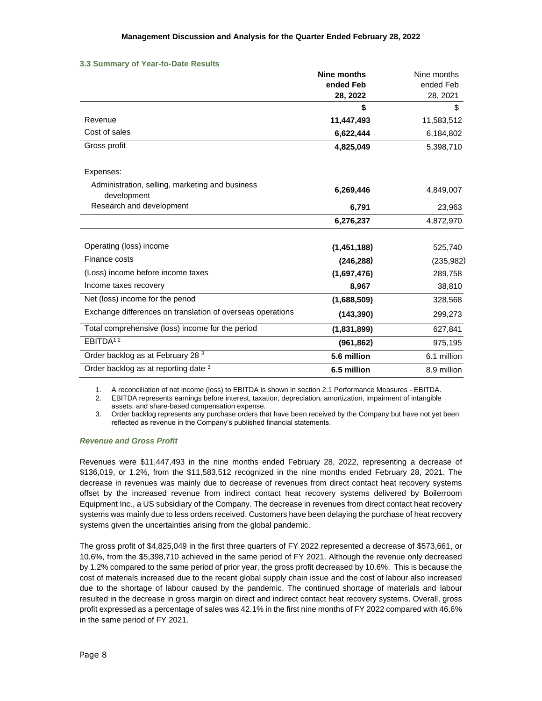|                                                                | Nine months | Nine months |
|----------------------------------------------------------------|-------------|-------------|
|                                                                | ended Feb   | ended Feb   |
|                                                                | 28, 2022    | 28, 2021    |
|                                                                | \$          | \$          |
| Revenue                                                        | 11,447,493  | 11,583,512  |
| Cost of sales                                                  | 6,622,444   | 6,184,802   |
| Gross profit                                                   | 4,825,049   | 5,398,710   |
| Expenses:                                                      |             |             |
| Administration, selling, marketing and business<br>development | 6,269,446   | 4,849,007   |
| Research and development                                       | 6,791       | 23,963      |
|                                                                | 6,276,237   | 4,872,970   |
| Operating (loss) income                                        | (1,451,188) | 525,740     |
| Finance costs                                                  | (246, 288)  | (235, 982)  |
| (Loss) income before income taxes                              | (1,697,476) | 289,758     |
| Income taxes recovery                                          | 8,967       | 38,810      |
| Net (loss) income for the period                               | (1,688,509) | 328,568     |
| Exchange differences on translation of overseas operations     | (143, 390)  | 299,273     |
| Total comprehensive (loss) income for the period               | (1,831,899) | 627,841     |
| EBITDA <sup>12</sup>                                           | (961, 862)  | 975,195     |
| Order backlog as at February 28 3                              | 5.6 million | 6.1 million |
| Order backlog as at reporting date 3                           | 6.5 million | 8.9 million |

#### **3.3 Summary of Year-to-Date Results**

1. A reconciliation of net income (loss) to EBITDA is shown in section 2.1 Performance Measures - EBITDA.

2. EBITDA represents earnings before interest, taxation, depreciation, amortization, impairment of intangible assets, and share-based compensation expense.

3. Order backlog represents any purchase orders that have been received by the Company but have not yet been reflected as revenue in the Company's published financial statements.

# *Revenue and Gross Profit*

Revenues were \$11,447,493 in the nine months ended February 28, 2022, representing a decrease of \$136,019, or 1.2%, from the \$11,583,512 recognized in the nine months ended February 28, 2021. The decrease in revenues was mainly due to decrease of revenues from direct contact heat recovery systems offset by the increased revenue from indirect contact heat recovery systems delivered by Boilerroom Equipment Inc., a US subsidiary of the Company. The decrease in revenues from direct contact heat recovery systems was mainly due to less orders received. Customers have been delaying the purchase of heat recovery systems given the uncertainties arising from the global pandemic.

The gross profit of \$4,825,049 in the first three quarters of FY 2022 represented a decrease of \$573,661, or 10.6%, from the \$5,398,710 achieved in the same period of FY 2021. Although the revenue only decreased by 1.2% compared to the same period of prior year, the gross profit decreased by 10.6%. This is because the cost of materials increased due to the recent global supply chain issue and the cost of labour also increased due to the shortage of labour caused by the pandemic. The continued shortage of materials and labour resulted in the decrease in gross margin on direct and indirect contact heat recovery systems. Overall, gross profit expressed as a percentage of sales was 42.1% in the first nine months of FY 2022 compared with 46.6% in the same period of FY 2021.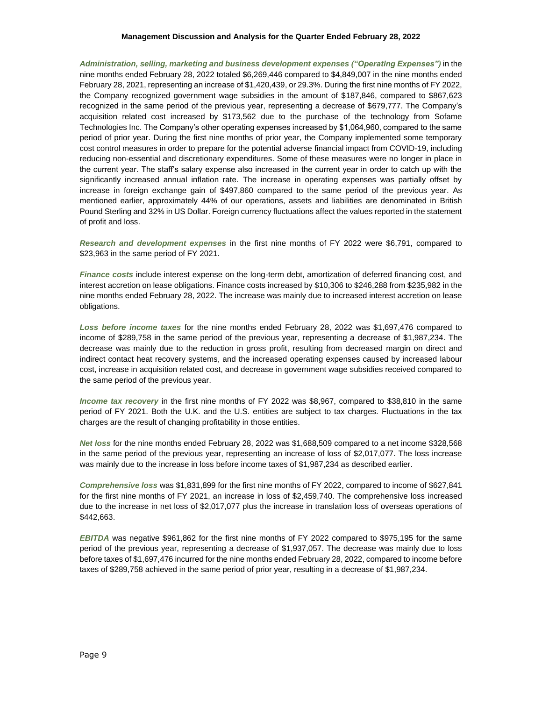*Administration, selling, marketing and business development expenses ("Operating Expenses")* in the nine months ended February 28, 2022 totaled \$6,269,446 compared to \$4,849,007 in the nine months ended February 28, 2021, representing an increase of \$1,420,439, or 29.3%. During the first nine months of FY 2022, the Company recognized government wage subsidies in the amount of \$187,846, compared to \$867,623 recognized in the same period of the previous year, representing a decrease of \$679,777. The Company's acquisition related cost increased by \$173,562 due to the purchase of the technology from Sofame Technologies Inc. The Company's other operating expenses increased by \$1,064,960, compared to the same period of prior year. During the first nine months of prior year, the Company implemented some temporary cost control measures in order to prepare for the potential adverse financial impact from COVID-19, including reducing non-essential and discretionary expenditures. Some of these measures were no longer in place in the current year. The staff's salary expense also increased in the current year in order to catch up with the significantly increased annual inflation rate. The increase in operating expenses was partially offset by increase in foreign exchange gain of \$497,860 compared to the same period of the previous year. As mentioned earlier, approximately 44% of our operations, assets and liabilities are denominated in British Pound Sterling and 32% in US Dollar. Foreign currency fluctuations affect the values reported in the statement of profit and loss.

*Research and development expenses* in the first nine months of FY 2022 were \$6,791, compared to \$23,963 in the same period of FY 2021.

*Finance costs* include interest expense on the long-term debt, amortization of deferred financing cost, and interest accretion on lease obligations. Finance costs increased by \$10,306 to \$246,288 from \$235,982 in the nine months ended February 28, 2022. The increase was mainly due to increased interest accretion on lease obligations.

*Loss before income taxes* for the nine months ended February 28, 2022 was \$1,697,476 compared to income of \$289,758 in the same period of the previous year, representing a decrease of \$1,987,234. The decrease was mainly due to the reduction in gross profit, resulting from decreased margin on direct and indirect contact heat recovery systems, and the increased operating expenses caused by increased labour cost, increase in acquisition related cost, and decrease in government wage subsidies received compared to the same period of the previous year.

*Income tax recovery* in the first nine months of FY 2022 was \$8,967, compared to \$38,810 in the same period of FY 2021. Both the U.K. and the U.S. entities are subject to tax charges. Fluctuations in the tax charges are the result of changing profitability in those entities.

*Net loss* for the nine months ended February 28, 2022 was \$1,688,509 compared to a net income \$328,568 in the same period of the previous year, representing an increase of loss of \$2,017,077. The loss increase was mainly due to the increase in loss before income taxes of \$1,987,234 as described earlier.

*Comprehensive loss* was \$1,831,899 for the first nine months of FY 2022, compared to income of \$627,841 for the first nine months of FY 2021, an increase in loss of \$2,459,740. The comprehensive loss increased due to the increase in net loss of \$2,017,077 plus the increase in translation loss of overseas operations of \$442,663.

*EBITDA* was negative \$961,862 for the first nine months of FY 2022 compared to \$975,195 for the same period of the previous year, representing a decrease of \$1,937,057. The decrease was mainly due to loss before taxes of \$1,697,476 incurred for the nine months ended February 28, 2022, compared to income before taxes of \$289,758 achieved in the same period of prior year, resulting in a decrease of \$1,987,234.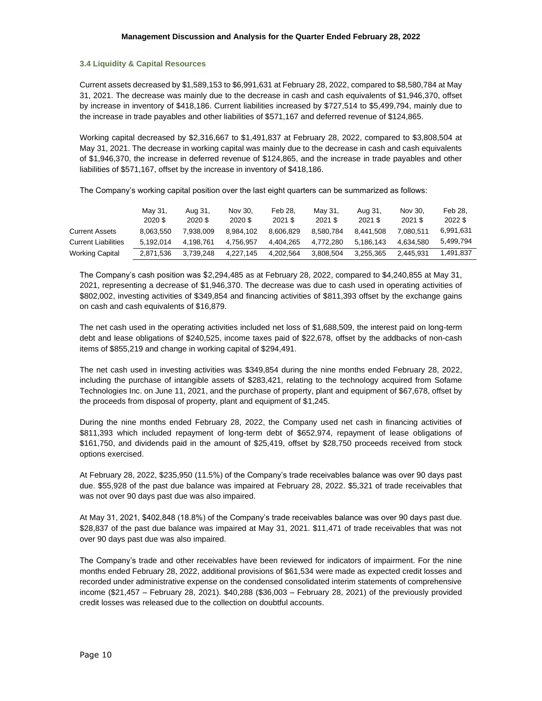#### **3.4 Liquidity & Capital Resources**

Current assets decreased by \$1,589,153 to \$6,991,631 at February 28, 2022, compared to \$8,580,784 at May 31, 2021. The decrease was mainly due to the decrease in cash and cash equivalents of \$1,946,370, offset by increase in inventory of \$418,186. Current liabilities increased by \$727,514 to \$5,499,794, mainly due to the increase in trade payables and other liabilities of \$571,167 and deferred revenue of \$124,865.

Working capital decreased by \$2,316,667 to \$1,491,837 at February 28, 2022, compared to \$3,808,504 at May 31, 2021. The decrease in working capital was mainly due to the decrease in cash and cash equivalents of \$1,946,370, the increase in deferred revenue of \$124,865, and the increase in trade payables and other liabilities of \$571,167, offset by the increase in inventory of \$418,186.

The Company's working capital position over the last eight quarters can be summarized as follows:

|                            | May 31,<br>2020 \$ | Aug 31,<br>2020 \$ | Nov 30.<br>2020 \$ | Feb 28.<br>2021 \$ | May 31,<br>$2021$ \$ | Aug 31,<br>2021 \$ | Nov 30.<br>2021 \$ | Feb 28.<br>2022 \$ |
|----------------------------|--------------------|--------------------|--------------------|--------------------|----------------------|--------------------|--------------------|--------------------|
| <b>Current Assets</b>      | 8.063.550          | 7.938.009          | 8.984.102          | 8.606.829          | 8.580.784            | 8.441.508          | 7.080.511          | 6.991.631          |
| <b>Current Liabilities</b> | 5.192.014          | 4.198.761          | 4.756.957          | 4.404.265          | 4.772.280            | 5.186.143          | 4.634.580          | 5.499.794          |
| Working Capital            | 2.871.536          | 3.739.248          | 4.227.145          | 4.202.564          | 3.808.504            | 3.255.365          | 2.445.931          | 1,491,837          |

The Company's cash position was \$2,294,485 as at February 28, 2022, compared to \$4,240,855 at May 31, 2021, representing a decrease of \$1,946,370. The decrease was due to cash used in operating activities of \$802,002, investing activities of \$349,854 and financing activities of \$811,393 offset by the exchange gains on cash and cash equivalents of \$16,879.

The net cash used in the operating activities included net loss of \$1,688,509, the interest paid on long-term debt and lease obligations of \$240,525, income taxes paid of \$22,678, offset by the addbacks of non-cash items of \$855,219 and change in working capital of \$294,491.

The net cash used in investing activities was \$349,854 during the nine months ended February 28, 2022, including the purchase of intangible assets of \$283,421, relating to the technology acquired from Sofame Technologies Inc. on June 11, 2021, and the purchase of property, plant and equipment of \$67,678, offset by the proceeds from disposal of property, plant and equipment of \$1,245.

During the nine months ended February 28, 2022, the Company used net cash in financing activities of \$811,393 which included repayment of long-term debt of \$652,974, repayment of lease obligations of \$161,750, and dividends paid in the amount of \$25,419, offset by \$28,750 proceeds received from stock options exercised.

At February 28, 2022, \$235,950 (11.5%) of the Company's trade receivables balance was over 90 days past due. \$55,928 of the past due balance was impaired at February 28, 2022. \$5,321 of trade receivables that was not over 90 days past due was also impaired.

At May 31, 2021, \$402,848 (18.8%) of the Company's trade receivables balance was over 90 days past due. \$28,837 of the past due balance was impaired at May 31, 2021. \$11,471 of trade receivables that was not over 90 days past due was also impaired.

The Company's trade and other receivables have been reviewed for indicators of impairment. For the nine months ended February 28, 2022, additional provisions of \$61,534 were made as expected credit losses and recorded under administrative expense on the condensed consolidated interim statements of comprehensive income (\$21,457 – February 28, 2021). \$40,288 (\$36,003 – February 28, 2021) of the previously provided credit losses was released due to the collection on doubtful accounts.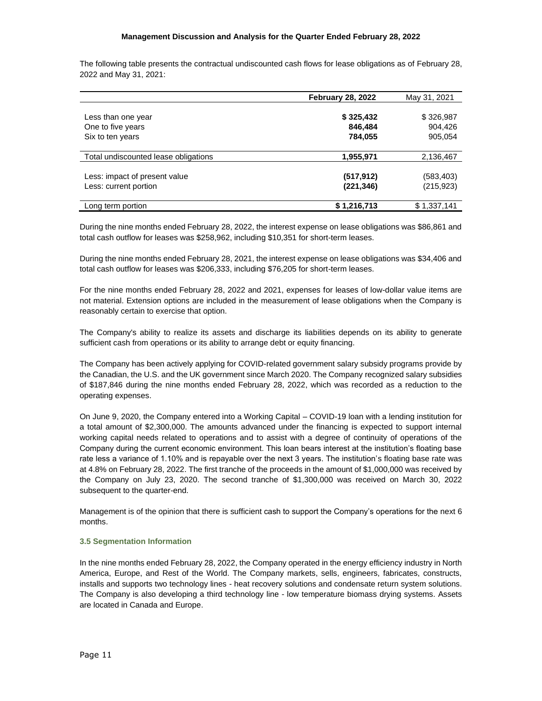The following table presents the contractual undiscounted cash flows for lease obligations as of February 28, 2022 and May 31, 2021:

|                                      | <b>February 28, 2022</b> | May 31, 2021 |
|--------------------------------------|--------------------------|--------------|
|                                      |                          |              |
| Less than one year                   | \$325,432                | \$326,987    |
| One to five years                    | 846,484                  | 904,426      |
| Six to ten years                     | 784.055                  | 905,054      |
|                                      |                          |              |
| Total undiscounted lease obligations | 1,955,971                | 2,136,467    |
|                                      |                          |              |
| Less: impact of present value        | (517, 912)               | (583,403)    |
| Less: current portion                | (221, 346)               | (215,923)    |
| Long term portion                    | \$1,216,713              | \$1,337,141  |

During the nine months ended February 28, 2022, the interest expense on lease obligations was \$86,861 and total cash outflow for leases was \$258,962, including \$10,351 for short-term leases.

During the nine months ended February 28, 2021, the interest expense on lease obligations was \$34,406 and total cash outflow for leases was \$206,333, including \$76,205 for short-term leases.

For the nine months ended February 28, 2022 and 2021, expenses for leases of low-dollar value items are not material. Extension options are included in the measurement of lease obligations when the Company is reasonably certain to exercise that option.

The Company's ability to realize its assets and discharge its liabilities depends on its ability to generate sufficient cash from operations or its ability to arrange debt or equity financing.

The Company has been actively applying for COVID-related government salary subsidy programs provide by the Canadian, the U.S. and the UK government since March 2020. The Company recognized salary subsidies of \$187,846 during the nine months ended February 28, 2022, which was recorded as a reduction to the operating expenses.

On June 9, 2020, the Company entered into a Working Capital – COVID-19 loan with a lending institution for a total amount of \$2,300,000. The amounts advanced under the financing is expected to support internal working capital needs related to operations and to assist with a degree of continuity of operations of the Company during the current economic environment. This loan bears interest at the institution's floating base rate less a variance of 1.10% and is repayable over the next 3 years. The institution's floating base rate was at 4.8% on February 28, 2022. The first tranche of the proceeds in the amount of \$1,000,000 was received by the Company on July 23, 2020. The second tranche of \$1,300,000 was received on March 30, 2022 subsequent to the quarter-end.

Management is of the opinion that there is sufficient cash to support the Company's operations for the next 6 months.

# **3.5 Segmentation Information**

In the nine months ended February 28, 2022, the Company operated in the energy efficiency industry in North America, Europe, and Rest of the World. The Company markets, sells, engineers, fabricates, constructs, installs and supports two technology lines - heat recovery solutions and condensate return system solutions. The Company is also developing a third technology line - low temperature biomass drying systems. Assets are located in Canada and Europe.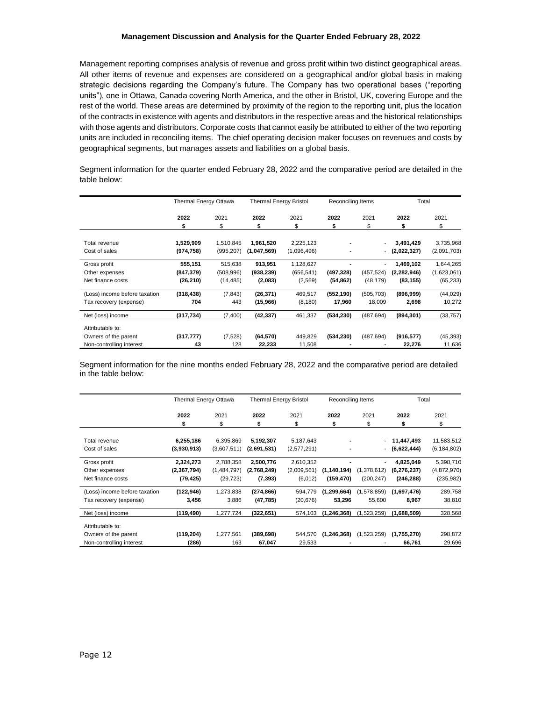Management reporting comprises analysis of revenue and gross profit within two distinct geographical areas. All other items of revenue and expenses are considered on a geographical and/or global basis in making strategic decisions regarding the Company's future. The Company has two operational bases ("reporting units"), one in Ottawa, Canada covering North America, and the other in Bristol, UK, covering Europe and the rest of the world. These areas are determined by proximity of the region to the reporting unit, plus the location of the contracts in existence with agents and distributors in the respective areas and the historical relationships with those agents and distributors. Corporate costs that cannot easily be attributed to either of the two reporting units are included in reconciling items. The chief operating decision maker focuses on revenues and costs by geographical segments, but manages assets and liabilities on a global basis.

Segment information for the quarter ended February 28, 2022 and the comparative period are detailed in the table below:

|                               | <b>Thermal Energy Ottawa</b> |            | <b>Thermal Energy Bristol</b> |             | Reconciling Items |                          | Total         |             |
|-------------------------------|------------------------------|------------|-------------------------------|-------------|-------------------|--------------------------|---------------|-------------|
|                               | 2022                         | 2021       | 2022                          | 2021        | 2022              | 2021                     | 2022          | 2021        |
|                               | \$                           | \$         | \$                            | \$          | \$                | \$                       | \$            | \$          |
| Total revenue                 | 1,529,909                    | 1,510,845  | 1,961,520                     | 2,225,123   |                   |                          | 3,491,429     | 3,735,968   |
| Cost of sales                 | (974, 758)                   | (995, 207) | (1,047,569)                   | (1,096,496) |                   | $\overline{\phantom{a}}$ | (2,022,327)   | (2,091,703) |
| Gross profit                  | 555,151                      | 515,638    | 913,951                       | 1,128,627   |                   |                          | 1,469,102     | 1,644,265   |
| Other expenses                | (847, 379)                   | (508, 996) | (938, 239)                    | (656, 541)  | (497, 328)        | (457, 524)               | (2, 282, 946) | (1,623,061) |
| Net finance costs             | (26, 210)                    | (14, 485)  | (2,083)                       | (2,569)     | (54, 862)         | (48, 179)                | (83, 155)     | (65, 233)   |
| (Loss) income before taxation | (318, 438)                   | (7, 843)   | (26, 371)                     | 469,517     | (552, 190)        | (505, 703)               | (896,999)     | (44, 029)   |
| Tax recovery (expense)        | 704                          | 443        | (15,966)                      | (8, 180)    | 17,960            | 18,009                   | 2,698         | 10,272      |
| Net (loss) income             | (317, 734)                   | (7,400)    | (42, 337)                     | 461,337     | (534, 230)        | (487, 694)               | (894, 301)    | (33, 757)   |
| Attributable to:              |                              |            |                               |             |                   |                          |               |             |
| Owners of the parent          | (317, 777)                   | (7,528)    | (64, 570)                     | 449,829     | (534, 230)        | (487, 694)               | (916, 577)    | (45, 393)   |
| Non-controlling interest      | 43                           | 128        | 22,233                        | 11,508      |                   |                          | 22,276        | 11,636      |

Segment information for the nine months ended February 28, 2022 and the comparative period are detailed in the table below:

|                               | <b>Thermal Energy Ottawa</b> |             |             | <b>Thermal Energy Bristol</b> |               | Reconciling Items |                 | Total         |  |
|-------------------------------|------------------------------|-------------|-------------|-------------------------------|---------------|-------------------|-----------------|---------------|--|
|                               | 2022                         | 2021        | 2022        | 2021                          | 2022          | 2021              | 2022            | 2021          |  |
|                               | \$                           | \$          | \$          | \$                            | \$            | \$                | \$              | \$            |  |
| Total revenue                 | 6,255,186                    | 6,395,869   | 5,192,307   | 5,187,643                     |               |                   | 11,447,493      | 11,583,512    |  |
| Cost of sales                 | (3,930,913)                  | (3,607,511) | (2,691,531) | (2,577,291)                   |               |                   | $-$ (6,622,444) | (6, 184, 802) |  |
| Gross profit                  | 2,324,273                    | 2,788,358   | 2,500,776   | 2,610,352                     |               |                   | 4,825,049       | 5,398,710     |  |
| Other expenses                | (2,367,794)                  | (1,484,797) | (2,768,249) | (2,009,561)                   | (1, 140, 194) | (1,378,612)       | (6, 276, 237)   | (4,872,970)   |  |
| Net finance costs             | (79, 425)                    | (29, 723)   | (7, 393)    | (6,012)                       | (159,470)     | (200, 247)        | (246, 288)      | (235, 982)    |  |
| (Loss) income before taxation | (122, 946)                   | 1,273,838   | (274, 866)  | 594,779                       | (1, 299, 664) | (1,578,859)       | (1,697,476)     | 289,758       |  |
| Tax recovery (expense)        | 3,456                        | 3,886       | (47, 785)   | (20, 676)                     | 53.296        | 55.600            | 8,967           | 38,810        |  |
| Net (loss) income             | (119,490)                    | 1,277,724   | (322,651)   | 574,103                       | (1, 246, 368) | (1,523,259)       | (1,688,509)     | 328,568       |  |
| Attributable to:              |                              |             |             |                               |               |                   |                 |               |  |
| Owners of the parent          | (119, 204)                   | 1,277,561   | (389, 698)  | 544,570                       | (1, 246, 368) | (1,523,259)       | (1,755,270)     | 298,872       |  |
| Non-controlling interest      | (286)                        | 163         | 67,047      | 29,533                        |               |                   | 66,761          | 29,696        |  |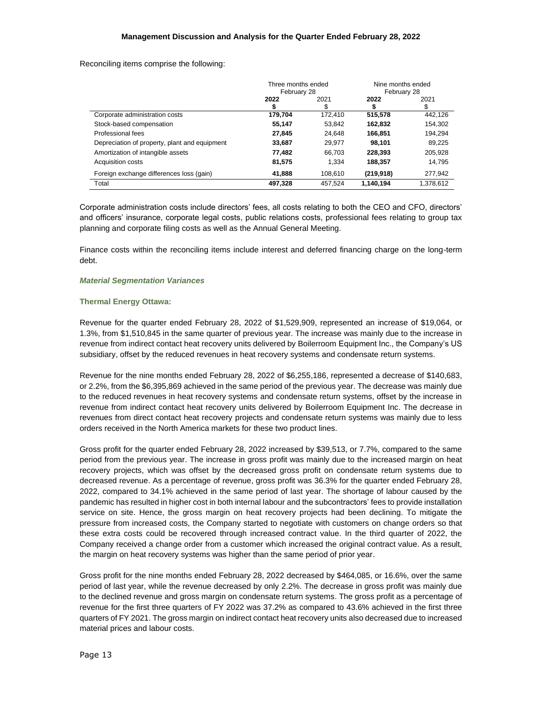#### Reconciling items comprise the following:

|                                               | Three months ended<br>February 28 |            | Nine months ended<br>February 28 |            |  |
|-----------------------------------------------|-----------------------------------|------------|----------------------------------|------------|--|
|                                               | 2022                              | 2021<br>\$ | 2022                             | 2021<br>\$ |  |
| Corporate administration costs                | 179,704                           | 172.410    | 515,578                          | 442.126    |  |
| Stock-based compensation                      | 55,147                            | 53,842     | 162,832                          | 154,302    |  |
| Professional fees                             | 27,845                            | 24.648     | 166,851                          | 194.294    |  |
| Depreciation of property, plant and equipment | 33,687                            | 29.977     | 98.101                           | 89,225     |  |
| Amortization of intangible assets             | 77,482                            | 66,703     | 228,393                          | 205,928    |  |
| Acquisition costs                             | 81,575                            | 1,334      | 188,357                          | 14,795     |  |
| Foreign exchange differences loss (gain)      | 41,888                            | 108.610    | (219, 918)                       | 277,942    |  |
| Total                                         | 497,328                           | 457.524    | 1,140,194                        | 1,378,612  |  |

Corporate administration costs include directors' fees, all costs relating to both the CEO and CFO, directors' and officers' insurance, corporate legal costs, public relations costs, professional fees relating to group tax planning and corporate filing costs as well as the Annual General Meeting.

Finance costs within the reconciling items include interest and deferred financing charge on the long-term debt.

#### *Material Segmentation Variances*

# **Thermal Energy Ottawa:**

Revenue for the quarter ended February 28, 2022 of \$1,529,909, represented an increase of \$19,064, or 1.3%, from \$1,510,845 in the same quarter of previous year. The increase was mainly due to the increase in revenue from indirect contact heat recovery units delivered by Boilerroom Equipment Inc., the Company's US subsidiary, offset by the reduced revenues in heat recovery systems and condensate return systems.

Revenue for the nine months ended February 28, 2022 of \$6,255,186, represented a decrease of \$140,683, or 2.2%, from the \$6,395,869 achieved in the same period of the previous year. The decrease was mainly due to the reduced revenues in heat recovery systems and condensate return systems, offset by the increase in revenue from indirect contact heat recovery units delivered by Boilerroom Equipment Inc. The decrease in revenues from direct contact heat recovery projects and condensate return systems was mainly due to less orders received in the North America markets for these two product lines.

Gross profit for the quarter ended February 28, 2022 increased by \$39,513, or 7.7%, compared to the same period from the previous year. The increase in gross profit was mainly due to the increased margin on heat recovery projects, which was offset by the decreased gross profit on condensate return systems due to decreased revenue. As a percentage of revenue, gross profit was 36.3% for the quarter ended February 28, 2022, compared to 34.1% achieved in the same period of last year. The shortage of labour caused by the pandemic has resulted in higher cost in both internal labour and the subcontractors' fees to provide installation service on site. Hence, the gross margin on heat recovery projects had been declining. To mitigate the pressure from increased costs, the Company started to negotiate with customers on change orders so that these extra costs could be recovered through increased contract value. In the third quarter of 2022, the Company received a change order from a customer which increased the original contract value. As a result, the margin on heat recovery systems was higher than the same period of prior year.

Gross profit for the nine months ended February 28, 2022 decreased by \$464,085, or 16.6%, over the same period of last year, while the revenue decreased by only 2.2%. The decrease in gross profit was mainly due to the declined revenue and gross margin on condensate return systems. The gross profit as a percentage of revenue for the first three quarters of FY 2022 was 37.2% as compared to 43.6% achieved in the first three quarters of FY 2021. The gross margin on indirect contact heat recovery units also decreased due to increased material prices and labour costs.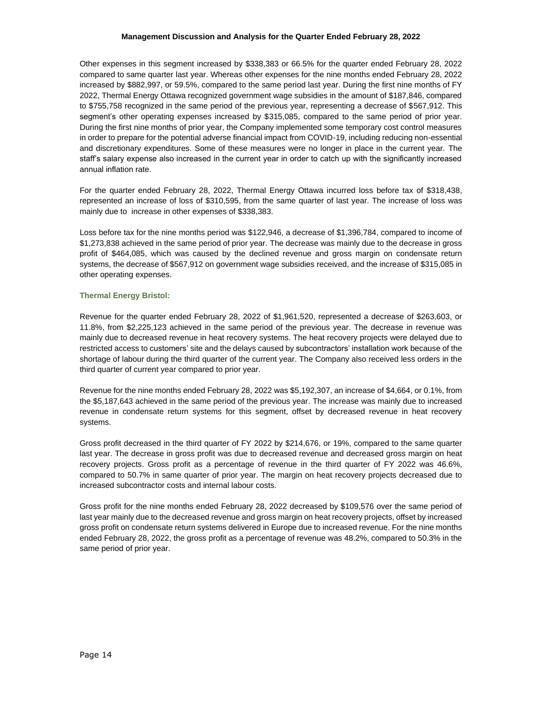Other expenses in this segment increased by \$338,383 or 66.5% for the quarter ended February 28, 2022 compared to same quarter last year. Whereas other expenses for the nine months ended February 28, 2022 increased by \$882,997, or 59.5%, compared to the same period last year. During the first nine months of FY 2022, Thermal Energy Ottawa recognized government wage subsidies in the amount of \$187,846, compared to \$755,758 recognized in the same period of the previous year, representing a decrease of \$567,912. This segment's other operating expenses increased by \$315,085, compared to the same period of prior year. During the first nine months of prior year, the Company implemented some temporary cost control measures in order to prepare for the potential adverse financial impact from COVID-19, including reducing non-essential and discretionary expenditures. Some of these measures were no longer in place in the current year. The staff's salary expense also increased in the current year in order to catch up with the significantly increased annual inflation rate.

For the quarter ended February 28, 2022, Thermal Energy Ottawa incurred loss before tax of \$318,438, represented an increase of loss of \$310,595, from the same quarter of last year. The increase of loss was mainly due to increase in other expenses of \$338,383.

Loss before tax for the nine months period was \$122,946, a decrease of \$1,396,784, compared to income of \$1,273,838 achieved in the same period of prior year. The decrease was mainly due to the decrease in gross profit of \$464,085, which was caused by the declined revenue and gross margin on condensate return systems, the decrease of \$567,912 on government wage subsidies received, and the increase of \$315,085 in other operating expenses.

#### **Thermal Energy Bristol:**

Revenue for the quarter ended February 28, 2022 of \$1,961,520, represented a decrease of \$263,603, or 11.8%, from \$2,225,123 achieved in the same period of the previous year. The decrease in revenue was mainly due to decreased revenue in heat recovery systems. The heat recovery projects were delayed due to restricted access to customers' site and the delays caused by subcontractors' installation work because of the shortage of labour during the third quarter of the current year. The Company also received less orders in the third quarter of current year compared to prior year.

Revenue for the nine months ended February 28, 2022 was \$5,192,307, an increase of \$4,664, or 0.1%, from the \$5,187,643 achieved in the same period of the previous year. The increase was mainly due to increased revenue in condensate return systems for this segment, offset by decreased revenue in heat recovery systems.

Gross profit decreased in the third quarter of FY 2022 by \$214,676, or 19%, compared to the same quarter last year. The decrease in gross profit was due to decreased revenue and decreased gross margin on heat recovery projects. Gross profit as a percentage of revenue in the third quarter of FY 2022 was 46.6%, compared to 50.7% in same quarter of prior year. The margin on heat recovery projects decreased due to increased subcontractor costs and internal labour costs.

Gross profit for the nine months ended February 28, 2022 decreased by \$109,576 over the same period of last year mainly due to the decreased revenue and gross margin on heat recovery projects, offset by increased gross profit on condensate return systems delivered in Europe due to increased revenue. For the nine months ended February 28, 2022, the gross profit as a percentage of revenue was 48.2%, compared to 50.3% in the same period of prior year.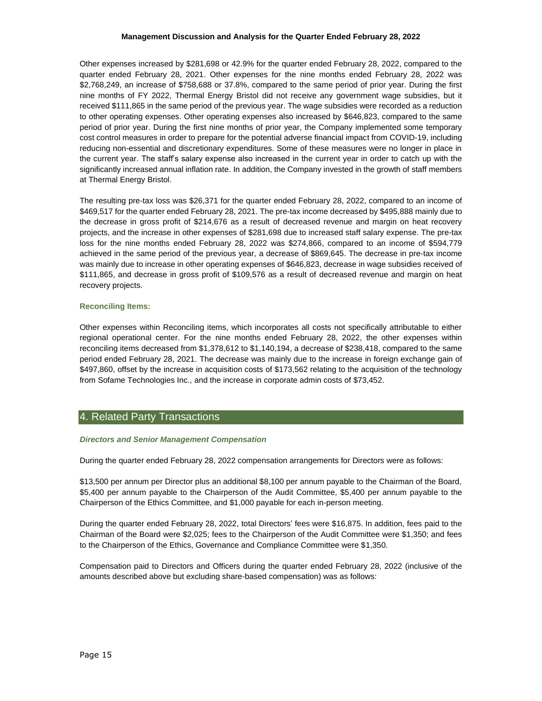Other expenses increased by \$281,698 or 42.9% for the quarter ended February 28, 2022, compared to the quarter ended February 28, 2021. Other expenses for the nine months ended February 28, 2022 was \$2,768,249, an increase of \$758,688 or 37.8%, compared to the same period of prior year. During the first nine months of FY 2022, Thermal Energy Bristol did not receive any government wage subsidies, but it received \$111,865 in the same period of the previous year. The wage subsidies were recorded as a reduction to other operating expenses. Other operating expenses also increased by \$646,823, compared to the same period of prior year. During the first nine months of prior year, the Company implemented some temporary cost control measures in order to prepare for the potential adverse financial impact from COVID-19, including reducing non-essential and discretionary expenditures. Some of these measures were no longer in place in the current year. The staff's salary expense also increased in the current year in order to catch up with the significantly increased annual inflation rate. In addition, the Company invested in the growth of staff members at Thermal Energy Bristol.

The resulting pre-tax loss was \$26,371 for the quarter ended February 28, 2022, compared to an income of \$469,517 for the quarter ended February 28, 2021. The pre-tax income decreased by \$495,888 mainly due to the decrease in gross profit of \$214,676 as a result of decreased revenue and margin on heat recovery projects, and the increase in other expenses of \$281,698 due to increased staff salary expense. The pre-tax loss for the nine months ended February 28, 2022 was \$274,866, compared to an income of \$594,779 achieved in the same period of the previous year, a decrease of \$869,645. The decrease in pre-tax income was mainly due to increase in other operating expenses of \$646,823, decrease in wage subsidies received of \$111,865, and decrease in gross profit of \$109,576 as a result of decreased revenue and margin on heat recovery projects.

# **Reconciling Items:**

Other expenses within Reconciling items, which incorporates all costs not specifically attributable to either regional operational center. For the nine months ended February 28, 2022, the other expenses within reconciling items decreased from \$1,378,612 to \$1,140,194, a decrease of \$238,418, compared to the same period ended February 28, 2021. The decrease was mainly due to the increase in foreign exchange gain of \$497,860, offset by the increase in acquisition costs of \$173,562 relating to the acquisition of the technology from Sofame Technologies Inc., and the increase in corporate admin costs of \$73,452.

# 4. Related Party Transactions

# *Directors and Senior Management Compensation*

During the quarter ended February 28, 2022 compensation arrangements for Directors were as follows:

\$13,500 per annum per Director plus an additional \$8,100 per annum payable to the Chairman of the Board, \$5,400 per annum payable to the Chairperson of the Audit Committee, \$5,400 per annum payable to the Chairperson of the Ethics Committee, and \$1,000 payable for each in-person meeting.

During the quarter ended February 28, 2022, total Directors' fees were \$16,875. In addition, fees paid to the Chairman of the Board were \$2,025; fees to the Chairperson of the Audit Committee were \$1,350; and fees to the Chairperson of the Ethics, Governance and Compliance Committee were \$1,350.

Compensation paid to Directors and Officers during the quarter ended February 28, 2022 (inclusive of the amounts described above but excluding share-based compensation) was as follows: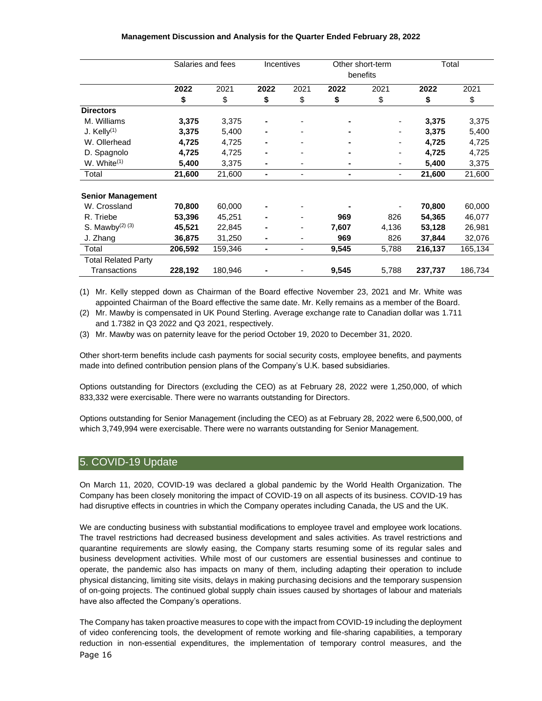|                             | Salaries and fees |         | Incentives     |                          | Other short-term<br>benefits |                          | Total   |         |
|-----------------------------|-------------------|---------|----------------|--------------------------|------------------------------|--------------------------|---------|---------|
|                             | 2022              | 2021    | 2022           | 2021                     | 2022                         | 2021                     | 2022    | 2021    |
|                             | \$                | \$      | \$             | \$                       | \$                           | \$                       | \$      | \$      |
| <b>Directors</b>            |                   |         |                |                          |                              |                          |         |         |
| M. Williams                 | 3,375             | 3,375   |                |                          |                              |                          | 3,375   | 3,375   |
| J. Kelly $(1)$              | 3,375             | 5,400   |                |                          |                              |                          | 3,375   | 5,400   |
| W. Ollerhead                | 4,725             | 4,725   |                |                          |                              |                          | 4,725   | 4,725   |
| D. Spagnolo                 | 4,725             | 4,725   |                |                          |                              |                          | 4,725   | 4,725   |
| W. White $(1)$              | 5,400             | 3,375   | ۰              |                          |                              |                          | 5,400   | 3,375   |
| Total                       | 21,600            | 21,600  | $\blacksquare$ | -                        | $\blacksquare$               | $\overline{\phantom{a}}$ | 21,600  | 21,600  |
| <b>Senior Management</b>    |                   |         |                |                          |                              |                          |         |         |
| W. Crossland                | 70,800            | 60,000  |                |                          |                              |                          | 70,800  | 60,000  |
| R. Triebe                   | 53,396            | 45,251  |                |                          | 969                          | 826                      | 54,365  | 46,077  |
| S. Mawby <sup>(2) (3)</sup> | 45,521            | 22,845  |                |                          | 7,607                        | 4,136                    | 53,128  | 26,981  |
| J. Zhang                    | 36,875            | 31,250  |                | -                        | 969                          | 826                      | 37,844  | 32,076  |
| Total                       | 206,592           | 159,346 | $\blacksquare$ | $\overline{\phantom{a}}$ | 9,545                        | 5,788                    | 216,137 | 165,134 |
| <b>Total Related Party</b>  |                   |         |                |                          |                              |                          |         |         |
| Transactions                | 228,192           | 180,946 |                |                          | 9,545                        | 5,788                    | 237,737 | 186,734 |

(1) Mr. Kelly stepped down as Chairman of the Board effective November 23, 2021 and Mr. White was appointed Chairman of the Board effective the same date. Mr. Kelly remains as a member of the Board.

(2) Mr. Mawby is compensated in UK Pound Sterling. Average exchange rate to Canadian dollar was 1.711 and 1.7382 in Q3 2022 and Q3 2021, respectively.

(3) Mr. Mawby was on paternity leave for the period October 19, 2020 to December 31, 2020.

Other short-term benefits include cash payments for social security costs, employee benefits, and payments made into defined contribution pension plans of the Company's U.K. based subsidiaries.

Options outstanding for Directors (excluding the CEO) as at February 28, 2022 were 1,250,000, of which 833,332 were exercisable. There were no warrants outstanding for Directors.

Options outstanding for Senior Management (including the CEO) as at February 28, 2022 were 6,500,000, of which 3,749,994 were exercisable. There were no warrants outstanding for Senior Management.

# 5. COVID-19 Update

On March 11, 2020, COVID-19 was declared a global pandemic by the World Health Organization. The Company has been closely monitoring the impact of COVID-19 on all aspects of its business. COVID-19 has had disruptive effects in countries in which the Company operates including Canada, the US and the UK.

We are conducting business with substantial modifications to employee travel and employee work locations. The travel restrictions had decreased business development and sales activities. As travel restrictions and quarantine requirements are slowly easing, the Company starts resuming some of its regular sales and business development activities. While most of our customers are essential businesses and continue to operate, the pandemic also has impacts on many of them, including adapting their operation to include physical distancing, limiting site visits, delays in making purchasing decisions and the temporary suspension of on-going projects. The continued global supply chain issues caused by shortages of labour and materials have also affected the Company's operations.

Page 16 The Company has taken proactive measures to cope with the impact from COVID-19 including the deployment of video conferencing tools, the development of remote working and file-sharing capabilities, a temporary reduction in non-essential expenditures, the implementation of temporary control measures, and the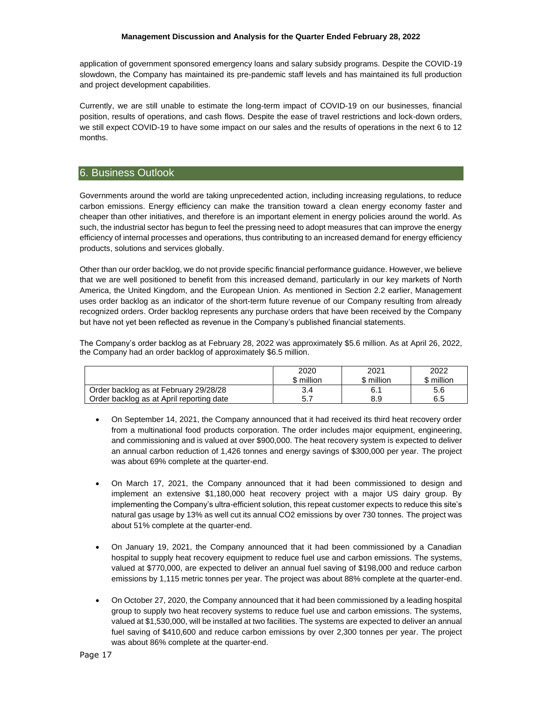application of government sponsored emergency loans and salary subsidy programs. Despite the COVID-19 slowdown, the Company has maintained its pre-pandemic staff levels and has maintained its full production and project development capabilities.

Currently, we are still unable to estimate the long-term impact of COVID-19 on our businesses, financial position, results of operations, and cash flows. Despite the ease of travel restrictions and lock-down orders, we still expect COVID-19 to have some impact on our sales and the results of operations in the next 6 to 12 months.

# 6. Business Outlook

Governments around the world are taking unprecedented action, including increasing regulations, to reduce carbon emissions. Energy efficiency can make the transition toward a clean energy economy faster and cheaper than other initiatives, and therefore is an important element in energy policies around the world. As such, the industrial sector has begun to feel the pressing need to adopt measures that can improve the energy efficiency of internal processes and operations, thus contributing to an increased demand for energy efficiency products, solutions and services globally.

Other than our order backlog, we do not provide specific financial performance guidance. However, we believe that we are well positioned to benefit from this increased demand, particularly in our key markets of North America, the United Kingdom, and the European Union. As mentioned in Section 2.2 earlier, Management uses order backlog as an indicator of the short-term future revenue of our Company resulting from already recognized orders. Order backlog represents any purchase orders that have been received by the Company but have not yet been reflected as revenue in the Company's published financial statements.

The Company's order backlog as at February 28, 2022 was approximately \$5.6 million. As at April 26, 2022, the Company had an order backlog of approximately \$6.5 million.

|                                                                                   | 2020       | 2021       | 2022       |
|-----------------------------------------------------------------------------------|------------|------------|------------|
|                                                                                   | \$ million | \$ million | ື່ million |
| Order backlog as at February 29/28/28<br>Order backlog as at April reporting date | 3.4        | 8.9        | 5.6<br>6.5 |

- On September 14, 2021, the Company announced that it had received its third heat recovery order from a multinational food products corporation. The order includes major equipment, engineering, and commissioning and is valued at over \$900,000. The heat recovery system is expected to deliver an annual carbon reduction of 1,426 tonnes and energy savings of \$300,000 per year. The project was about 69% complete at the quarter-end.
- On March 17, 2021, the Company announced that it had been commissioned to design and implement an extensive \$1,180,000 heat recovery project with a major US dairy group. By implementing the Company's ultra-efficient solution, this repeat customer expects to reduce this site's natural gas usage by 13% as well cut its annual CO2 emissions by over 730 tonnes. The project was about 51% complete at the quarter-end.
- On January 19, 2021, the Company announced that it had been commissioned by a Canadian hospital to supply heat recovery equipment to reduce fuel use and carbon emissions. The systems, valued at \$770,000, are expected to deliver an annual fuel saving of \$198,000 and reduce carbon emissions by 1,115 metric tonnes per year. The project was about 88% complete at the quarter-end.
- On October 27, 2020, the Company announced that it had been commissioned by a leading hospital group to supply two heat recovery systems to reduce fuel use and carbon emissions. The systems, valued at \$1,530,000, will be installed at two facilities. The systems are expected to deliver an annual fuel saving of \$410,600 and reduce carbon emissions by over 2,300 tonnes per year. The project was about 86% complete at the quarter-end.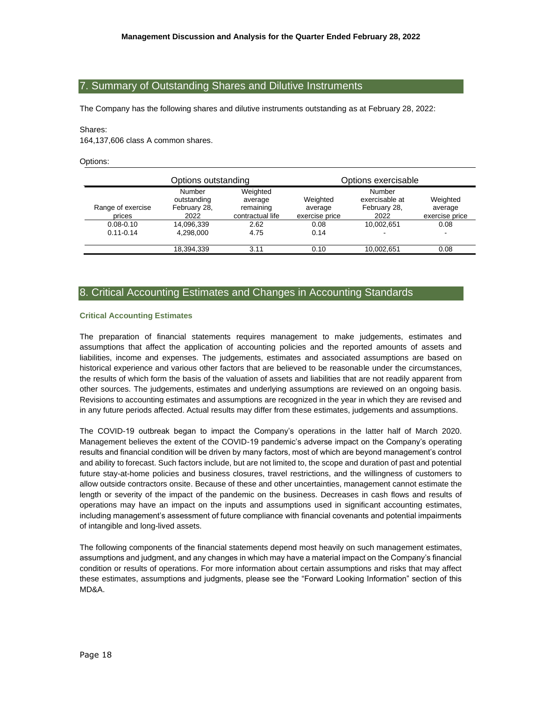# 7. Summary of Outstanding Shares and Dilutive Instruments

The Company has the following shares and dilutive instruments outstanding as at February 28, 2022:

#### Shares:

164,137,606 class A common shares.

Options:

|                                | Options outstanding                           |                                                      | Options exercisable                   |                                                  |                                       |  |
|--------------------------------|-----------------------------------------------|------------------------------------------------------|---------------------------------------|--------------------------------------------------|---------------------------------------|--|
| Range of exercise<br>prices    | Number<br>outstanding<br>February 28,<br>2022 | Weighted<br>average<br>remaining<br>contractual life | Weighted<br>average<br>exercise price | Number<br>exercisable at<br>February 28,<br>2022 | Weighted<br>average<br>exercise price |  |
| $0.08 - 0.10$<br>$0.11 - 0.14$ | 14,096,339<br>4.298.000                       | 2.62<br>4.75                                         | 0.08<br>0.14                          | 10,002,651<br>-                                  | 0.08                                  |  |
|                                | 18,394,339                                    | 3.11                                                 | 0.10                                  | 10,002,651                                       | 0.08                                  |  |

# 8. Critical Accounting Estimates and Changes in Accounting Standards

#### **Critical Accounting Estimates**

The preparation of financial statements requires management to make judgements, estimates and assumptions that affect the application of accounting policies and the reported amounts of assets and liabilities, income and expenses. The judgements, estimates and associated assumptions are based on historical experience and various other factors that are believed to be reasonable under the circumstances, the results of which form the basis of the valuation of assets and liabilities that are not readily apparent from other sources. The judgements, estimates and underlying assumptions are reviewed on an ongoing basis. Revisions to accounting estimates and assumptions are recognized in the year in which they are revised and in any future periods affected. Actual results may differ from these estimates, judgements and assumptions.

The COVID-19 outbreak began to impact the Company's operations in the latter half of March 2020. Management believes the extent of the COVID-19 pandemic's adverse impact on the Company's operating results and financial condition will be driven by many factors, most of which are beyond management's control and ability to forecast. Such factors include, but are not limited to, the scope and duration of past and potential future stay-at-home policies and business closures, travel restrictions, and the willingness of customers to allow outside contractors onsite. Because of these and other uncertainties, management cannot estimate the length or severity of the impact of the pandemic on the business. Decreases in cash flows and results of operations may have an impact on the inputs and assumptions used in significant accounting estimates, including management's assessment of future compliance with financial covenants and potential impairments of intangible and long-lived assets.

The following components of the financial statements depend most heavily on such management estimates, assumptions and judgment, and any changes in which may have a material impact on the Company's financial condition or results of operations. For more information about certain assumptions and risks that may affect these estimates, assumptions and judgments, please see the "Forward Looking Information" section of this MD&A.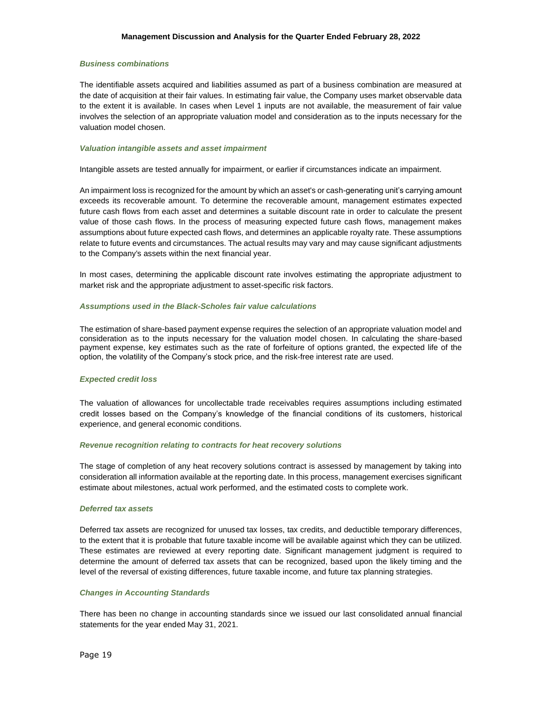# *Business combinations*

The identifiable assets acquired and liabilities assumed as part of a business combination are measured at the date of acquisition at their fair values. In estimating fair value, the Company uses market observable data to the extent it is available. In cases when Level 1 inputs are not available, the measurement of fair value involves the selection of an appropriate valuation model and consideration as to the inputs necessary for the valuation model chosen.

#### *Valuation intangible assets and asset impairment*

Intangible assets are tested annually for impairment, or earlier if circumstances indicate an impairment.

An impairment loss is recognized for the amount by which an asset's or cash-generating unit's carrying amount exceeds its recoverable amount. To determine the recoverable amount, management estimates expected future cash flows from each asset and determines a suitable discount rate in order to calculate the present value of those cash flows. In the process of measuring expected future cash flows, management makes assumptions about future expected cash flows, and determines an applicable royalty rate. These assumptions relate to future events and circumstances. The actual results may vary and may cause significant adjustments to the Company's assets within the next financial year.

In most cases, determining the applicable discount rate involves estimating the appropriate adjustment to market risk and the appropriate adjustment to asset-specific risk factors.

#### *Assumptions used in the Black-Scholes fair value calculations*

The estimation of share-based payment expense requires the selection of an appropriate valuation model and consideration as to the inputs necessary for the valuation model chosen. In calculating the share-based payment expense, key estimates such as the rate of forfeiture of options granted, the expected life of the option, the volatility of the Company's stock price, and the risk-free interest rate are used.

# *Expected credit loss*

The valuation of allowances for uncollectable trade receivables requires assumptions including estimated credit losses based on the Company's knowledge of the financial conditions of its customers, historical experience, and general economic conditions.

#### *Revenue recognition relating to contracts for heat recovery solutions*

The stage of completion of any heat recovery solutions contract is assessed by management by taking into consideration all information available at the reporting date. In this process, management exercises significant estimate about milestones, actual work performed, and the estimated costs to complete work.

#### *Deferred tax assets*

Deferred tax assets are recognized for unused tax losses, tax credits, and deductible temporary differences, to the extent that it is probable that future taxable income will be available against which they can be utilized. These estimates are reviewed at every reporting date. Significant management judgment is required to determine the amount of deferred tax assets that can be recognized, based upon the likely timing and the level of the reversal of existing differences, future taxable income, and future tax planning strategies.

# *Changes in Accounting Standards*

There has been no change in accounting standards since we issued our last consolidated annual financial statements for the year ended May 31, 2021.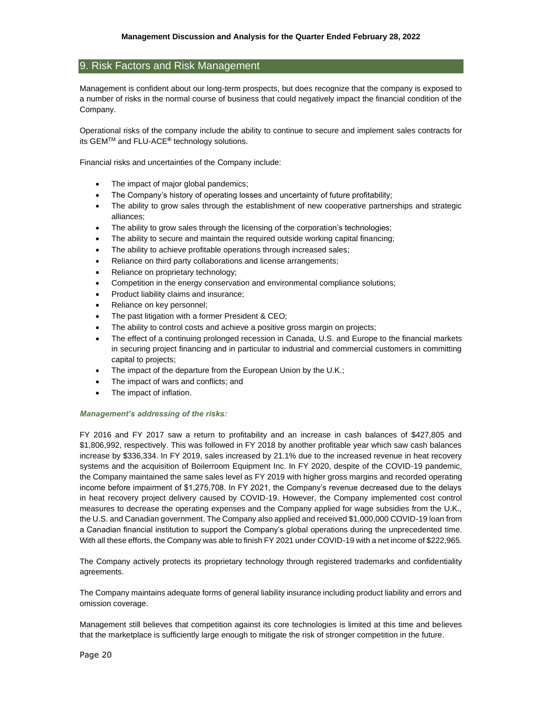# 9. Risk Factors and Risk Management

Management is confident about our long-term prospects, but does recognize that the company is exposed to a number of risks in the normal course of business that could negatively impact the financial condition of the Company.

Operational risks of the company include the ability to continue to secure and implement sales contracts for its GEMTM and FLU-ACE**®** technology solutions.

Financial risks and uncertainties of the Company include:

- The impact of major global pandemics;
- The Company's history of operating losses and uncertainty of future profitability;
- The ability to grow sales through the establishment of new cooperative partnerships and strategic alliances;
- The ability to grow sales through the licensing of the corporation's technologies;
- The ability to secure and maintain the required outside working capital financing;
- The ability to achieve profitable operations through increased sales;
- Reliance on third party collaborations and license arrangements;
- Reliance on proprietary technology;
- Competition in the energy conservation and environmental compliance solutions;
- Product liability claims and insurance;
- Reliance on key personnel;
- The past litigation with a former President & CEO;
- The ability to control costs and achieve a positive gross margin on projects;
- The effect of a continuing prolonged recession in Canada, U.S. and Europe to the financial markets in securing project financing and in particular to industrial and commercial customers in committing capital to projects;
- The impact of the departure from the European Union by the U.K.;
- The impact of wars and conflicts; and
- The impact of inflation.

# *Management's addressing of the risks:*

FY 2016 and FY 2017 saw a return to profitability and an increase in cash balances of \$427,805 and \$1,806,992, respectively. This was followed in FY 2018 by another profitable year which saw cash balances increase by \$336,334. In FY 2019, sales increased by 21.1% due to the increased revenue in heat recovery systems and the acquisition of Boilerroom Equipment Inc. In FY 2020, despite of the COVID-19 pandemic, the Company maintained the same sales level as FY 2019 with higher gross margins and recorded operating income before impairment of \$1,275,708. In FY 2021, the Company's revenue decreased due to the delays in heat recovery project delivery caused by COVID-19. However, the Company implemented cost control measures to decrease the operating expenses and the Company applied for wage subsidies from the U.K., the U.S. and Canadian government. The Company also applied and received \$1,000,000 COVID-19 loan from a Canadian financial institution to support the Company's global operations during the unprecedented time. With all these efforts, the Company was able to finish FY 2021 under COVID-19 with a net income of \$222,965.

The Company actively protects its proprietary technology through registered trademarks and confidentiality agreements.

The Company maintains adequate forms of general liability insurance including product liability and errors and omission coverage.

Management still believes that competition against its core technologies is limited at this time and believes that the marketplace is sufficiently large enough to mitigate the risk of stronger competition in the future.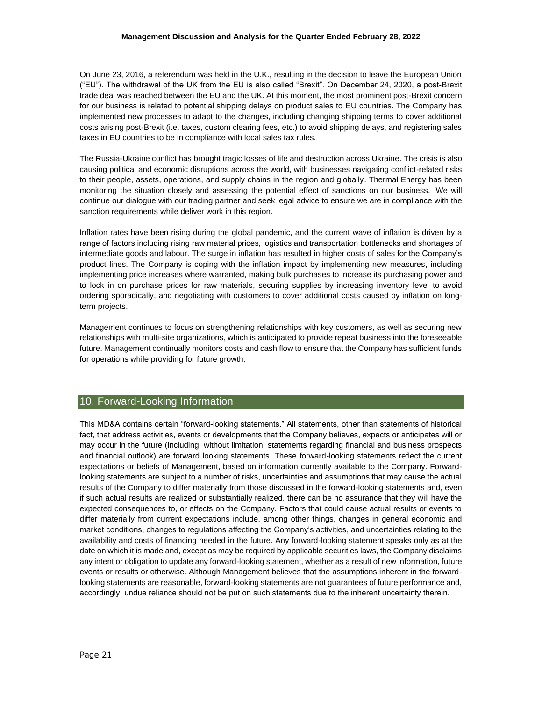On June 23, 2016, a referendum was held in the U.K., resulting in the decision to leave the European Union ("EU"). The withdrawal of the UK from the EU is also called "Brexit". On December 24, 2020, a post-Brexit trade deal was reached between the EU and the UK. At this moment, the most prominent post-Brexit concern for our business is related to potential shipping delays on product sales to EU countries. The Company has implemented new processes to adapt to the changes, including changing shipping terms to cover additional costs arising post-Brexit (i.e. taxes, custom clearing fees, etc.) to avoid shipping delays, and registering sales taxes in EU countries to be in compliance with local sales tax rules.

The Russia-Ukraine conflict has brought tragic losses of life and destruction across Ukraine. The crisis is also causing political and economic disruptions across the world, with businesses navigating conflict-related risks to their people, assets, operations, and supply chains in the region and globally. Thermal Energy has been monitoring the situation closely and assessing the potential effect of sanctions on our business. We will continue our dialogue with our trading partner and seek legal advice to ensure we are in compliance with the sanction requirements while deliver work in this region.

Inflation rates have been rising during the global pandemic, and the current wave of inflation is driven by a range of factors including rising raw material prices, logistics and transportation bottlenecks and shortages of intermediate goods and labour. The surge in inflation has resulted in higher costs of sales for the Company's product lines. The Company is coping with the inflation impact by implementing new measures, including implementing price increases where warranted, making bulk purchases to increase its purchasing power and to lock in on purchase prices for raw materials, securing supplies by increasing inventory level to avoid ordering sporadically, and negotiating with customers to cover additional costs caused by inflation on longterm projects.

Management continues to focus on strengthening relationships with key customers, as well as securing new relationships with multi-site organizations, which is anticipated to provide repeat business into the foreseeable future. Management continually monitors costs and cash flow to ensure that the Company has sufficient funds for operations while providing for future growth.

# 10. Forward-Looking Information

This MD&A contains certain "forward-looking statements." All statements, other than statements of historical fact, that address activities, events or developments that the Company believes, expects or anticipates will or may occur in the future (including, without limitation, statements regarding financial and business prospects and financial outlook) are forward looking statements. These forward-looking statements reflect the current expectations or beliefs of Management, based on information currently available to the Company. Forwardlooking statements are subject to a number of risks, uncertainties and assumptions that may cause the actual results of the Company to differ materially from those discussed in the forward-looking statements and, even if such actual results are realized or substantially realized, there can be no assurance that they will have the expected consequences to, or effects on the Company. Factors that could cause actual results or events to differ materially from current expectations include, among other things, changes in general economic and market conditions, changes to regulations affecting the Company's activities, and uncertainties relating to the availability and costs of financing needed in the future. Any forward-looking statement speaks only as at the date on which it is made and, except as may be required by applicable securities laws, the Company disclaims any intent or obligation to update any forward-looking statement, whether as a result of new information, future events or results or otherwise. Although Management believes that the assumptions inherent in the forwardlooking statements are reasonable, forward-looking statements are not guarantees of future performance and, accordingly, undue reliance should not be put on such statements due to the inherent uncertainty therein.